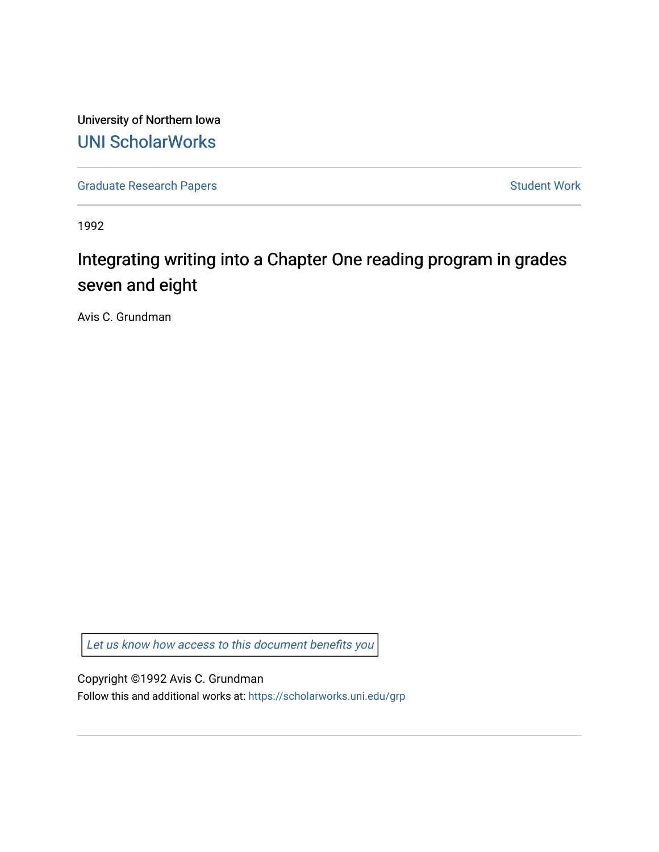University of Northern Iowa [UNI ScholarWorks](https://scholarworks.uni.edu/) 

[Graduate Research Papers](https://scholarworks.uni.edu/grp) **Student Work** Student Work

1992

# Integrating writing into a Chapter One reading program in grades seven and eight

Avis C. Grundman

[Let us know how access to this document benefits you](https://scholarworks.uni.edu/feedback_form.html) 

Copyright ©1992 Avis C. Grundman

Follow this and additional works at: [https://scholarworks.uni.edu/grp](https://scholarworks.uni.edu/grp?utm_source=scholarworks.uni.edu%2Fgrp%2F2452&utm_medium=PDF&utm_campaign=PDFCoverPages)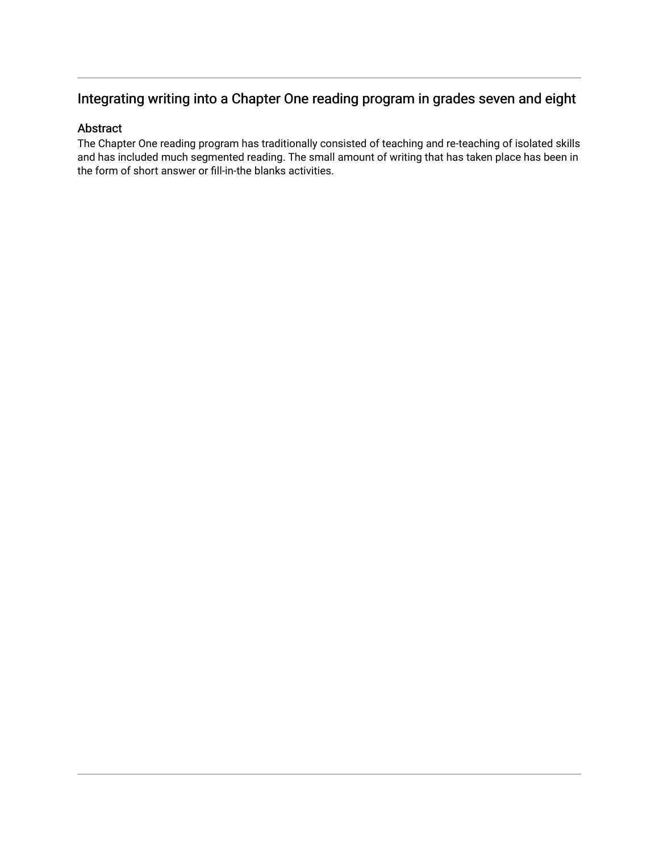# Integrating writing into a Chapter One reading program in grades seven and eight

# Abstract

The Chapter One reading program has traditionally consisted of teaching and re-teaching of isolated skills and has included much segmented reading. The small amount of writing that has taken place has been in the form of short answer or fill-in-the blanks activities.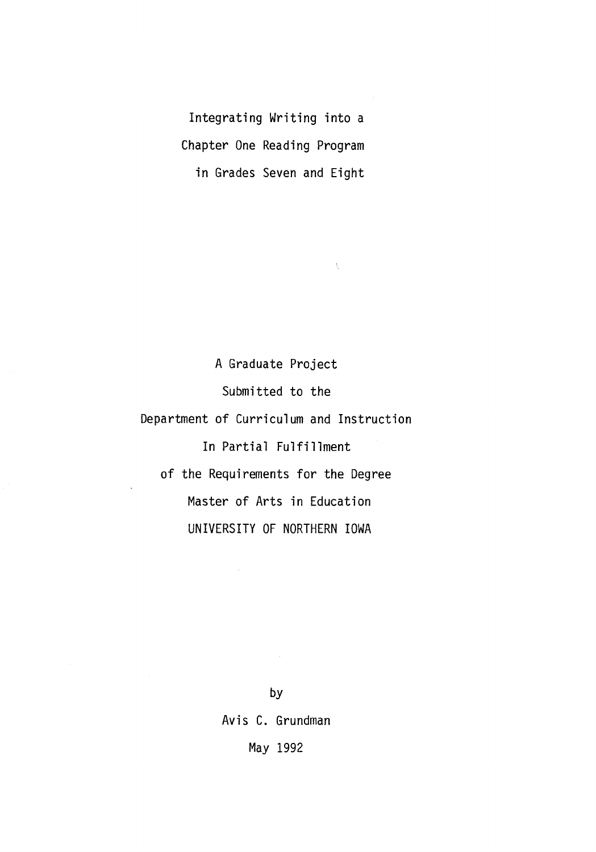Integrating Writing into a Chapter One Reading Program in Grades Seven and Eight

 $\bar{\chi}$ 

A Graduate Project Submitted to the Department of Curriculum and Instruction In Partial Fulfillment of the Requirements for the Degree Master of Arts in Education UNIVERSITY OF NORTHERN IOWA

> by Avis C. Grundman May 1992

 $\sim$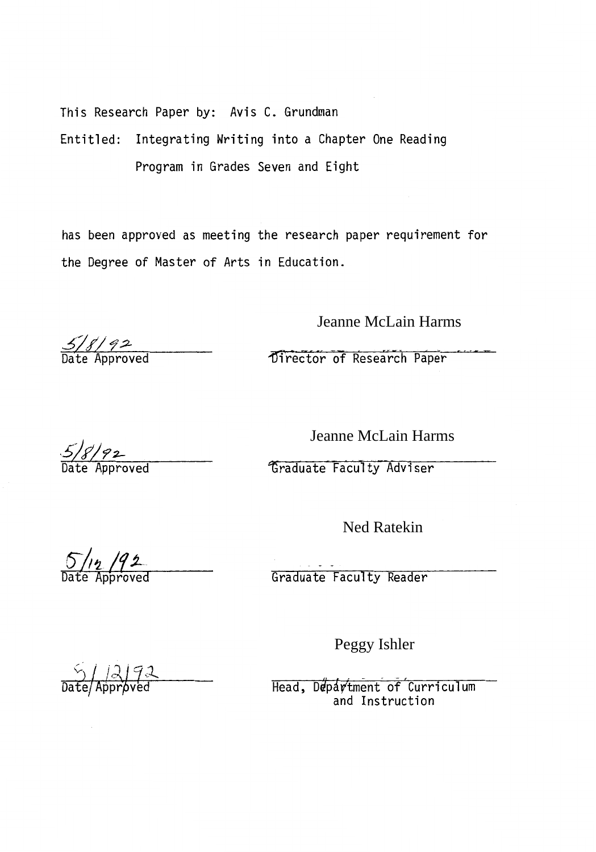This Research Paper by: Avis C. Grundman Entitled: Integrating Writing into a Chapter One Reading Program in Grades Seven and Eight

has been approved as meeting the research paper requirement for the Degree of Master of Arts in Education.

Jeanne McLain Harms

1Jirector of Research Paper

 $5/8/92$ 

Jeanne McLain Harms

Graduate Faculty Adviser

Ned Ratekin

 $5/12/92$ 

Graduate Faculty Reader

Peggy Ishler

 $\frac{5}{\text{Date}}$ /Approved

Head, Department of Curriculum and Instruction

 $\frac{5}{8}$ /92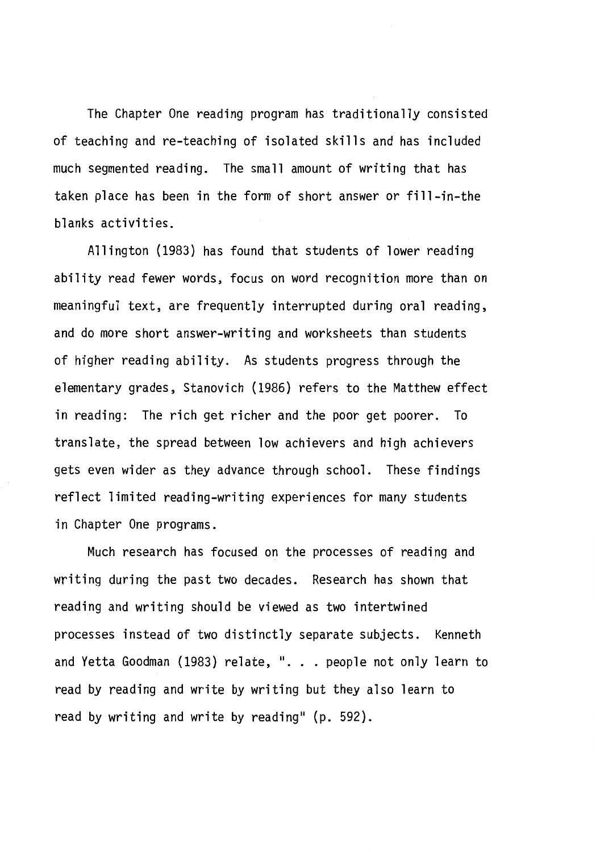The Chapter One reading program has traditionally consisted of teaching and re-teaching of isolated skills and has included much segmented reading. The small amount of writing that has taken place has been in the form of short answer or fill-in-the blanks activities.

Allington (1983) has found that students of lower reading ability read fewer words, focus on word recognition more than on meaningful text, are frequently interrupted during oral reading, and do more short answer-writing and worksheets than students of higher reading ability. As students progress through the elementary grades, Stanovich (1986) refers to the Matthew effect in reading: The rich get richer and the poor get poorer. To translate, the spread between low achievers and high achievers gets even wider as they advance through school. These findings reflect limited reading-writing experiences for many students in Chapter One programs.

Much research has focused on the processes of reading and writing during the past two decades. Research has shown that reading and writing should be viewed as two intertwined processes instead of two distinctly separate subjects. Kenneth and Yetta Goodman (1983) relate, ". . . people not only learn to read by reading and write by writing but they also learn to read by writing and write by reading" {p. 592).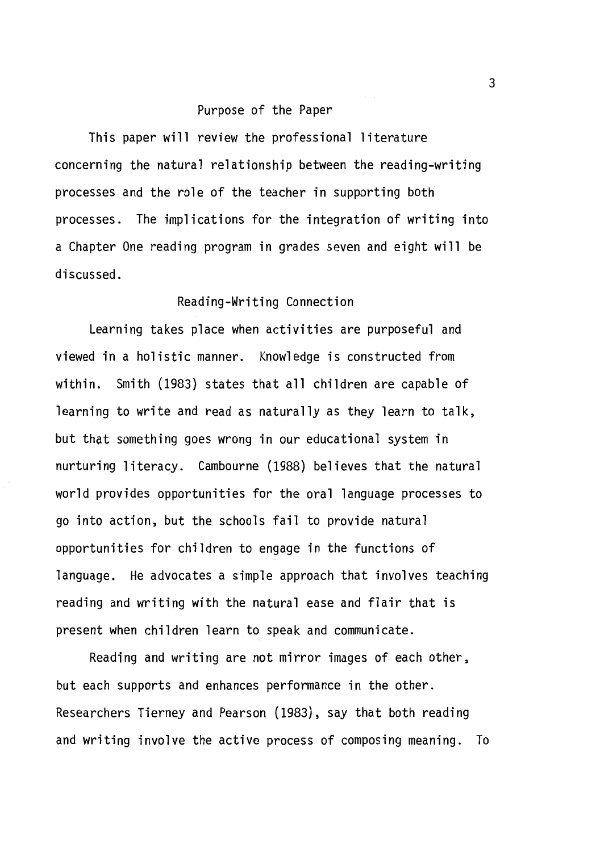#### Purpose of the Paper

This paper will review the professional literature concerning the natural relationship between the reading-writing processes and the role of the teacher in supporting both processes. The implications for the integration of writing into a Chapter One reading program in grades seven and eight will be discussed.

## Reading-Writing Connection

Learning takes place when activities are purposeful and viewed in a holistic manner. Knowledge is constructed from within. Smith (1983) states that all children are capable of learning to write and read as naturally as they learn to talk, but that something goes wrong in our educational system in nurturing literacy. Cambourne (1988) believes that the natural world provides opportunities for the oral language processes to go into action, but the schools fail to provide natural opportunities for children to engage in the functions of language. He advocates a simple approach that involves teaching reading and writing with the natural ease and flair that is present when children learn to speak and communicate.

Reading and writing are not mirror images of each other, but each supports and enhances performance in the other. Researchers Tierney and Pearson (1983), say that both reading and writing involve the active process of composing meaning. To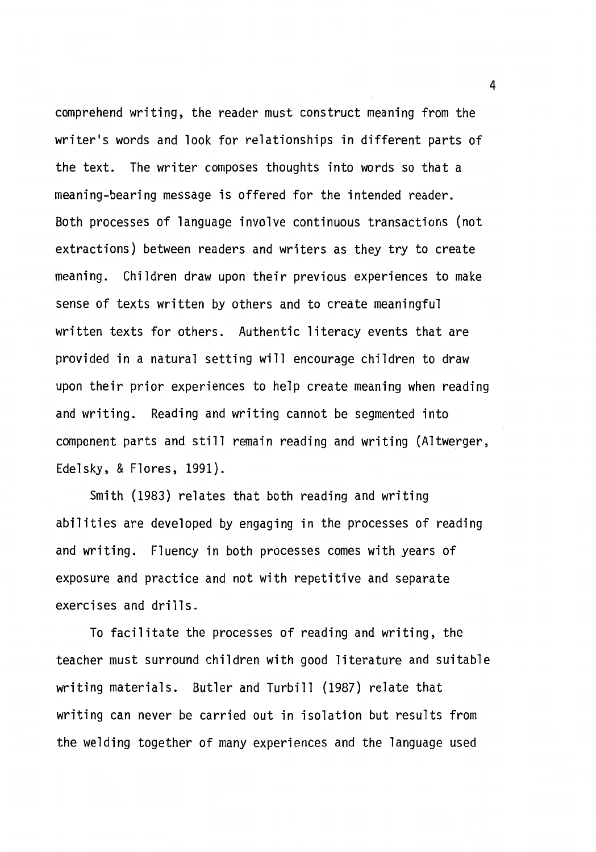comprehend writing, the reader must construct meaning from the writer's words and look for relationships in different parts of the text. The writer composes thoughts into words so that a meaning-bearing message is offered for the intended reader. Both processes of language involve continuous transactions (not extractions) between readers and writers as they try to create meaning. Children draw upon their previous experiences to make sense of texts written by others and to create meaningful written texts for others. Authentic literacy events that are provided in a natural setting will encourage children to draw upon their prior experiences to help create meaning when reading and writing. Reading and writing cannot be segmented into component parts and still remain reading and writing (Altwerger, Edelsky, & Flores, 1991).

Smith (1983) relates that both reading and writing abilities are developed by engaging in the processes of reading and writing. Fluency in both processes comes with years of exposure and practice and not with repetitive and separate exercises and drills.

To facilitate the processes of reading and writing, the teacher must surround children with good literature and suitable writing materials. Butler and Turbill (1987) relate that writing can never be carried out in isolation but results from the welding together of many experiences and the language used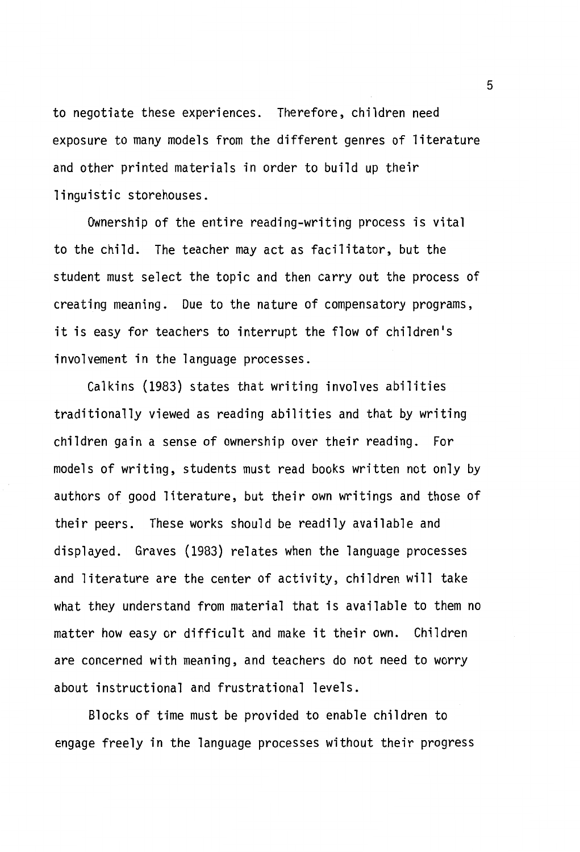to negotiate these experiences. Therefore, children need exposure to many models from the different genres of literature and other printed materials in order to build up their linguistic storehouses.

Ownership of the entire reading-writing process is vital to the child. The teacher may act as facilitator, but the student must select the topic and then carry out the process of creating meaning. Due to the nature of compensatory programs, it is easy for teachers to interrupt the flow of children's involvement in the language processes.

Calkins (1983) states that writing involves abilities traditionally viewed as reading abilities and that by writing children gain a sense of ownership over their reading. For models of writing, students must read books written not only by authors of good literature, but their own writings and those of their peers. These works should be readily available and displayed. Graves (1983) relates when the language processes and literature are the center of activity, children will take what they understand from material that is available to them no matter how easy or difficult and make it their own. Children are concerned with meaning, and teachers do not need to worry about instructional and frustrational levels.

Blocks of time must be provided to enable children to engage freely in the language processes without their progress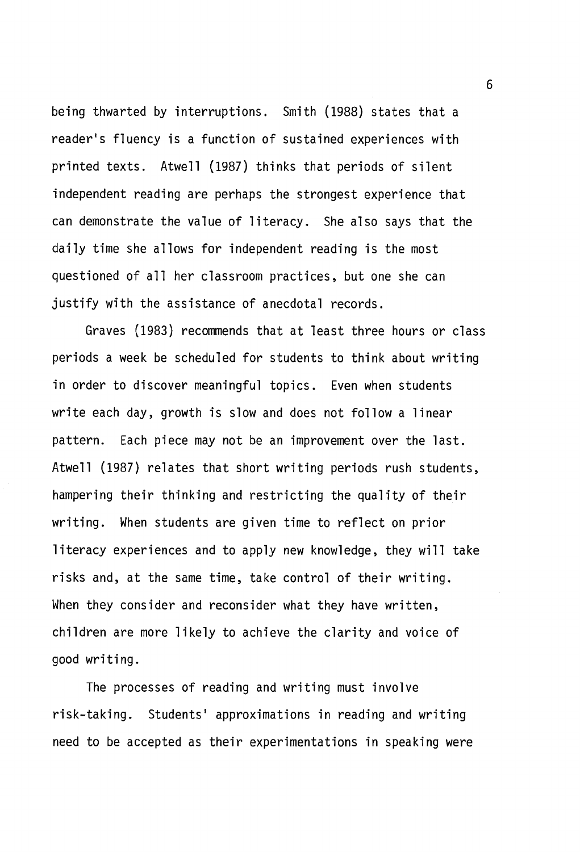being thwarted by interruptions. Smith (1988) states that a reader's fluency is a function of sustained experiences with printed texts. Atwell (1987) thinks that periods of silent independent reading are perhaps the strongest experience that can demonstrate the value of literacy. She also says that the daily time she allows for independent reading is the most questioned of all her classroom practices, but one she can justify with the assistance of anecdotal records.

Graves (1983) recommends that at least three hours or class periods a week be scheduled for students to think about writing in order to discover meaningful topics. Even when students write each day, growth is slow and does not follow a linear pattern. Each piece may not be an improvement over the last. Atwell (1987) relates that short writing periods rush students, hampering their thinking and restricting the quality of their writing. When students are given time to reflect on prior literacy experiences and to apply new knowledge, they will take risks and, at the same time, take control of their writing. When they consider and reconsider what they have written, children are more likely to achieve the clarity and voice of good writing.

The processes of reading and writing must involve risk-taking. Students' approximations in reading and writing need to be accepted as their experimentations in speaking were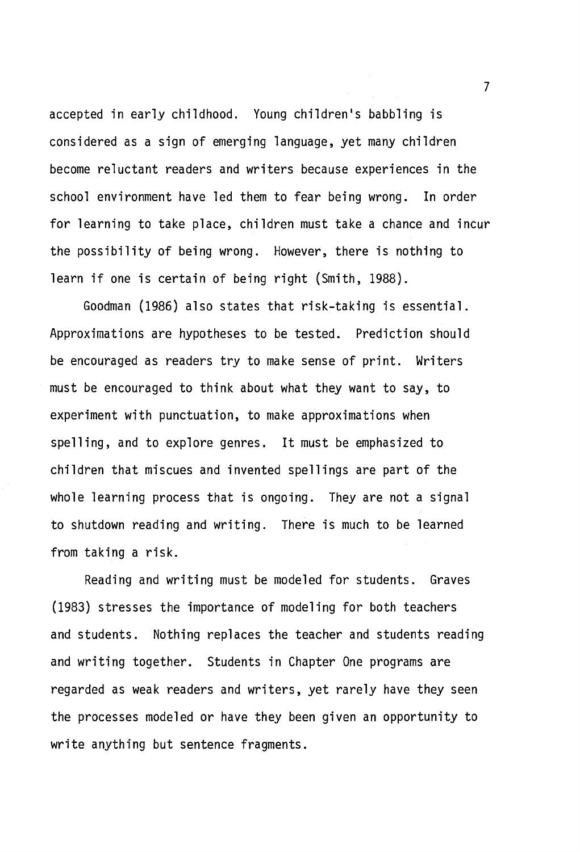accepted in early childhood. Young children's babbling is considered as a sign of emerging language, yet many children become reluctant readers and writers because experiences in the school environment have led them to fear being wrong. In order for learning to take place, children must take a chance and incur the possibility of being wrong. However, there is nothing to learn if one is certain of being right (Smith, 1988).

Goodman (1986) also states that risk-taking is essential. Approximations are hypotheses to be tested. Prediction should be encouraged as readers try to make sense of print. Writers must be encouraged to think about what they want to say, to experiment with punctuation, to make approximations when spelling, and to explore genres. It must be emphasized to children that miscues and invented spellings are part of the whole learning process that is ongoing. They are not a signal to shutdown reading and writing. There is much to be learned from taking a risk.

Reading and writing must be modeled for students. Graves (1983) stresses the importance of modeling for both teachers and students. Nothing replaces the teacher and students reading and writing together. Students in Chapter One programs are regarded as weak readers and writers, yet rarely have they seen the processes modeled or have they been given an opportunity to write anything but sentence fragments.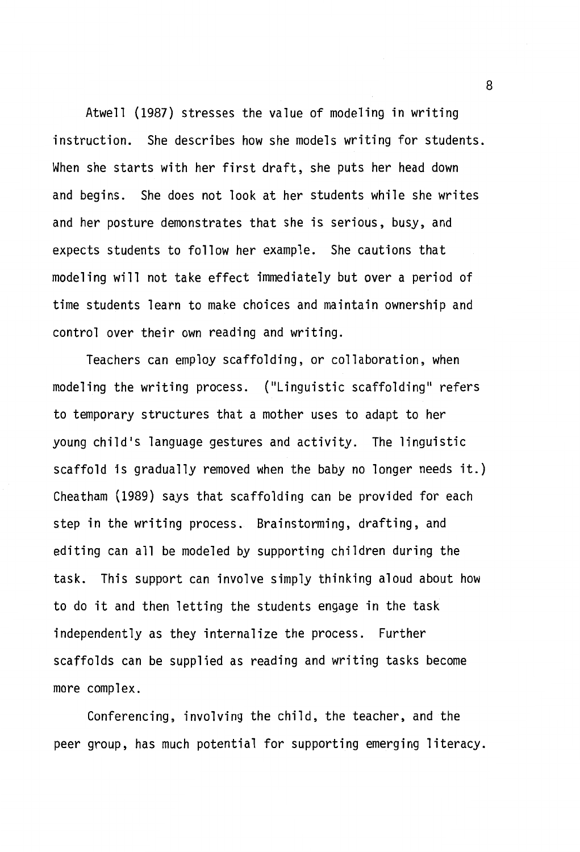Atwell (1987) stresses the value of modeling in writing instruction. She describes how she models writing for students. When she starts with her first draft, she puts her head down and begins. She does not look at her students while she writes and her posture demonstrates that she is serious, busy, and expects students to follow her example. She cautions that modeling will not take effect immediately but over a period of time students learn to make choices and maintain ownership and control over their own reading and writing.

Teachers can employ scaffolding, or collaboration, when modeling the writing process. {"Linguistic scaffolding" refers to temporary structures that a mother uses to adapt to her young child's language gestures and activity. The linguistic scaffold is gradually removed when the baby no longer needs it.) Cheatham (1989) says that scaffolding can be provided for each step in the writing process. Brainstorming, drafting, and editing can all be modeled by supporting children during the task. This support can involve simply thinking aloud about how to do it and then letting the students engage in the task independently as they internalize the process. Further scaffolds can be supplied as reading and writing tasks become more complex.

Conferencing, involving the child, the teacher, and the peer group, has much potential for supporting emerging literacy.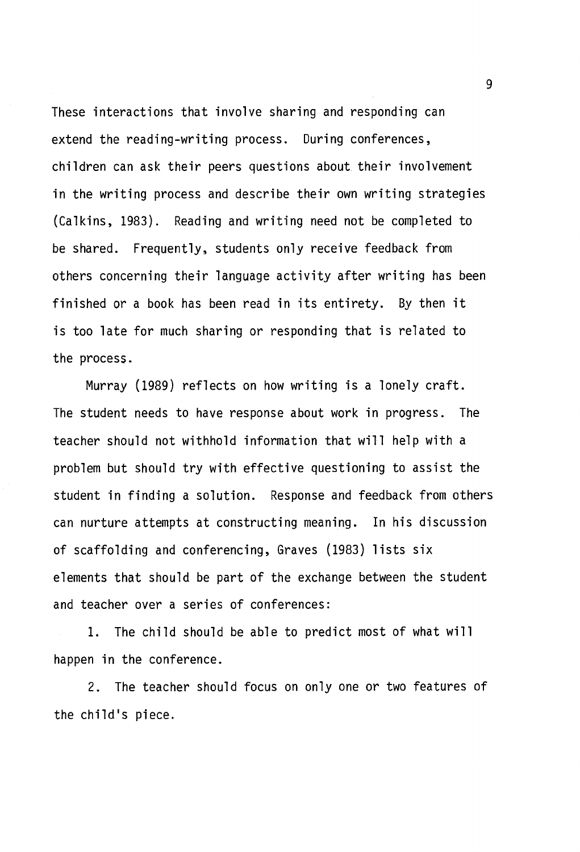These interactions that involve sharing and responding can extend the reading-writing process. During conferences, children can ask their peers questions about their involvement in the writing process and describe their own writing strategies (Calkins, 1983). Reading and writing need not be completed to be shared. Frequently, students only receive feedback from others concerning their language activity after writing has been finished or a book has been read in its entirety. By then it is too late for much sharing or responding that is related to the process.

Murray (1989) reflects on how writing is a lonely craft. The student needs to have response about work in progress. The teacher should not withhold information that will help with a problem but should try with effective questioning to assist the student in finding a solution. Response and feedback from others can nurture attempts at constructing meaning. In his discussion of scaffolding and conferencing, Graves (1983) lists six elements that should be part of the exchange between the student and teacher over a series of conferences:

1. The child should be able to predict most of what will happen in the conference.

2. The teacher should focus on only one or two features of the child's piece.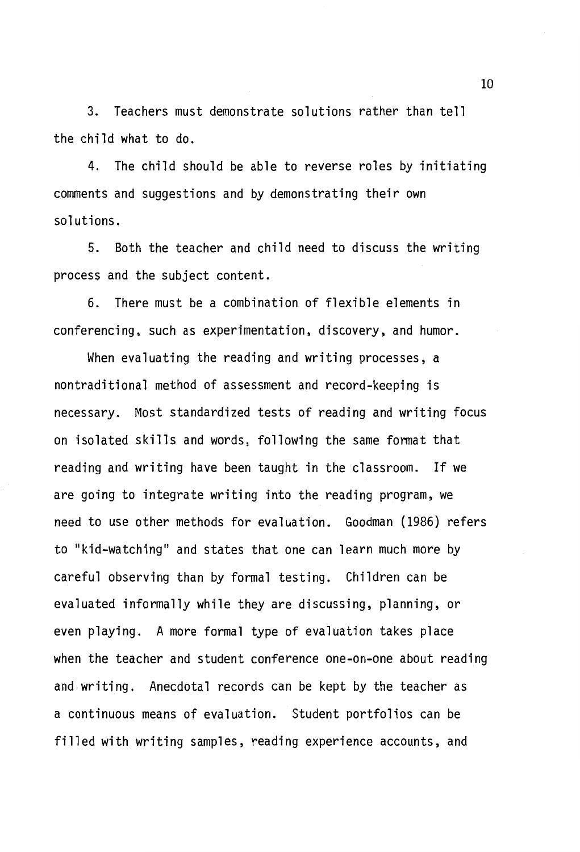3. Teachers must demonstrate solutions rather than tell the child what to do.

4. The child should be able to reverse roles by initiating comments and suggestions and by demonstrating their own solutions.

5. Both the teacher and child need to discuss the writing process and the subject content.

6. There must be a combination of flexible elements in conferencing, such as experimentation, discovery, and humor.

When evaluating the reading and writing processes, a nontraditional method of assessment and record-keeping is necessary. Most standardized tests of reading and writing focus on isolated skills and words, following the same fonnat that reading and writing have been taught in the classroom. If we are going to integrate writing into the reading program, we need to use other methods for evaluation. Goodman (1986) refers to "kid-watching" and states that one can learn much more by careful observing than by formal testing. Children can be evaluated informally while they are discussing, planning, or even playing. A more formal type of evaluation takes place when the teacher and student conference one-on-one about reading and-writing. Anecdotal records can be kept by the teacher as a continuous means of evaluation. Student portfolios can be filled with writing samples, reading experience accounts, and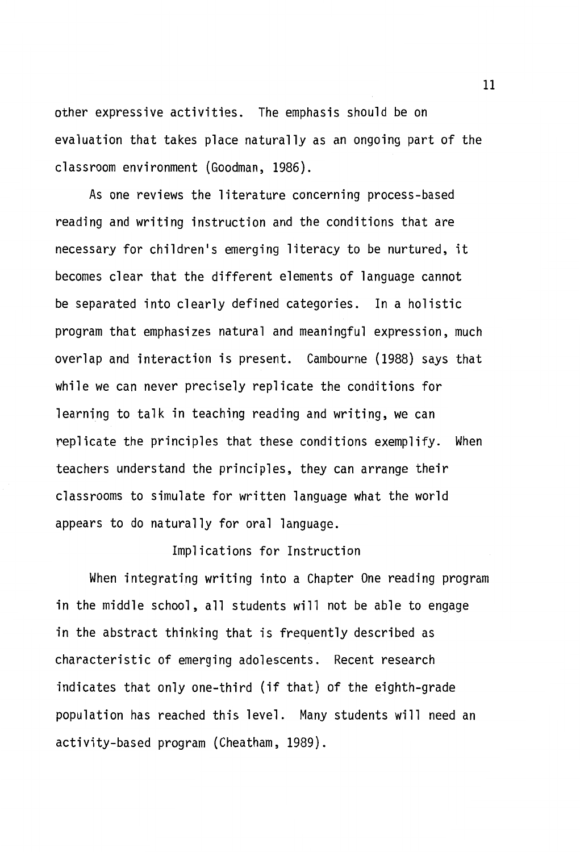other expressive activities. The emphasis should be on evaluation that takes place naturally as an ongoing part of the classroom environment (Goodman, 1986).

As one reviews the literature concerning process-based reading and writing instruction and the conditions that are necessary for children's emerging literacy to be nurtured, it becomes clear that the different elements of language cannot be separated into clearly defined categories. In a holistic program that emphasizes natural and meaningful expression, much overlap and interaction is present. Cambourne (1988) says that while we can never precisely replicate the conditions for learning to talk in teaching reading and writing, we can replicate the principles that these conditions exemplify. When teachers understand the principles, they can arrange their classrooms to simulate for written language what the world appears to do naturally for oral language.

#### Implications for Instruction

When integrating writing into a Chapter One reading program in the middle school, all students will not be able to engage in the abstract thinking that is frequently described as characteristic of emerging adolescents. Recent research indicates that only one-third (if that) of the eighth-grade population has reached this level. Many students will need an activity-based program (Cheatham, 1989).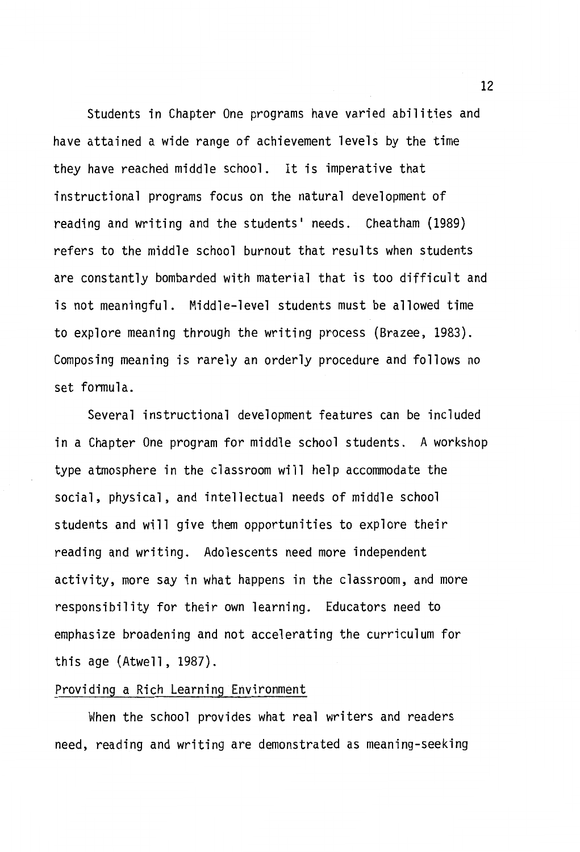Students in Chapter One programs have varied abilities and have attained a wide range of achievement levels by the time they have reached middle school. It is imperative that instructional programs focus on the natural development of reading and writing and the students' needs. Cheatham (1989) refers to the middle school burnout that results when students are constantly bombarded with material that is too difficult and is not meaningful. Middle-level students must be allowed time to explore meaning through the writing process (Brazee, 1983). Composing meaning is rarely an orderly procedure and follows no set formula.

Several instructional development features can be included in a Chapter One program for middle school students. A workshop type atmosphere in the classroom will help accommodate the social, physical, and intellectual needs of middle school students and will give them opportunities to explore their reading and writing. Adolescents need more independent activity, more say in what happens in the classroom, and more responsibility for their own learning. Educators need to emphasize broadening and not accelerating the curriculum for this age (Atwell, 1987).

## Providing a Rich Learning Environment

When the school provides what real writers and readers need, reading and writing are demonstrated as meaning-seeking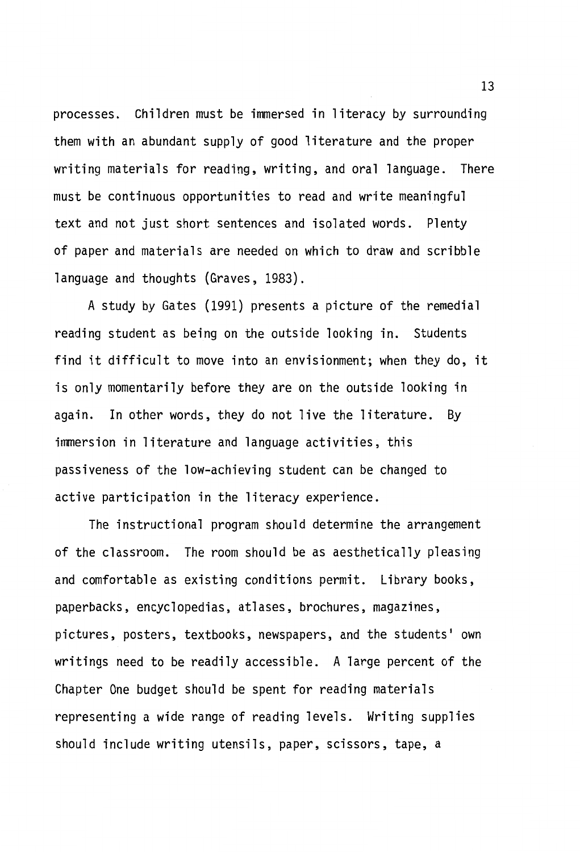processes. Children must be immersed in literacy by surrounding them with an abundant supply of good literature and the proper writing materials for reading, writing, and oral language. There must be continuous opportunities to read and write meaningful text and not just short sentences and isolated words. Plenty of paper and materials are needed on which to draw and scribble language and thoughts (Graves, 1983).

A study by Gates (1991) presents a picture of the remedial reading student as being on the outside looking in. Students find it difficult to move into an envisionment; when they do, it is only momentarily before they are on the outside looking in again. In other words, they do not live the literature. By immersion in literature and language activities, this passiveness of the low-achieving student can be changed to active participation in the literacy experience.

The instructional program should determine the arrangement of the classroom. The room should be as aesthetically pleasing and comfortable as existing conditions permit. Library books, paperbacks, encyclopedias, atlases, brochures, magazines, pictures, posters, textbooks, newspapers, and the students' own writings need to be readily accessible. A large percent of the Chapter One budget should be spent for reading materials representing a wide range of reading levels. Writing supplies should include writing utensils, paper, scissors, tape, a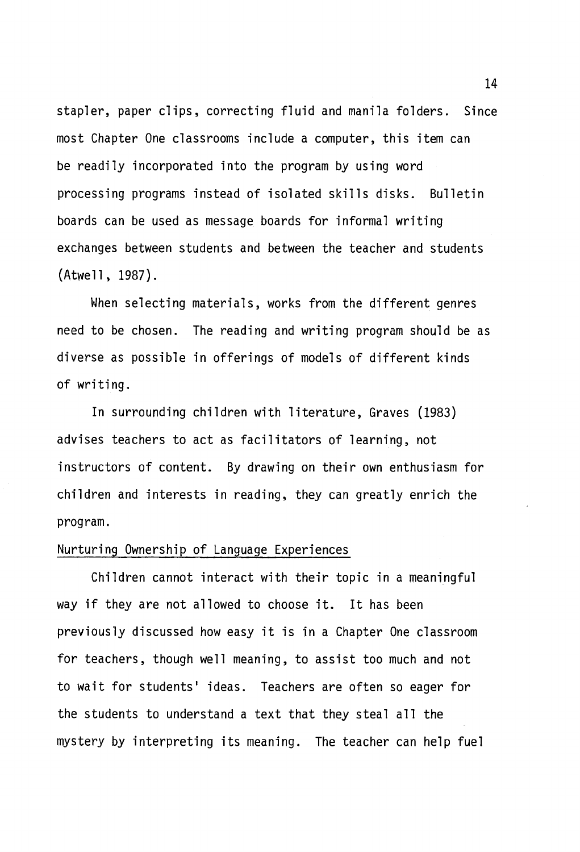stapler, paper clips, correcting fluid and manila folders. Since most Chapter One classrooms include a computer, this item can be readily incorporated into the program by using word processing programs instead of isolated skills disks. Bulletin boards can be used as message boards for informal writing exchanges between students and between the teacher and students (Atwell, 1987).

When selecting materials, works from the different genres need to be chosen. The reading and writing program should be as diverse as possible in offerings of models of different kinds of writing.

In surrounding children with literature, Graves (1983) advises teachers to act as facilitators of learning, not instructors of content. By drawing on their own enthusiasm for children and interests in reading, they can greatly enrich the program.

#### Nurturing Ownership of Language Experiences

Children cannot interact with their topic in a meaningful way if they are not allowed to choose it. It has been previously discussed how easy it is in a Chapter One classroom for teachers, though well meaning, to assist too much and not to wait for students' ideas. Teachers are often so eager for the students to understand a text that they steal all the mystery by interpreting its meaning. The teacher can help fuel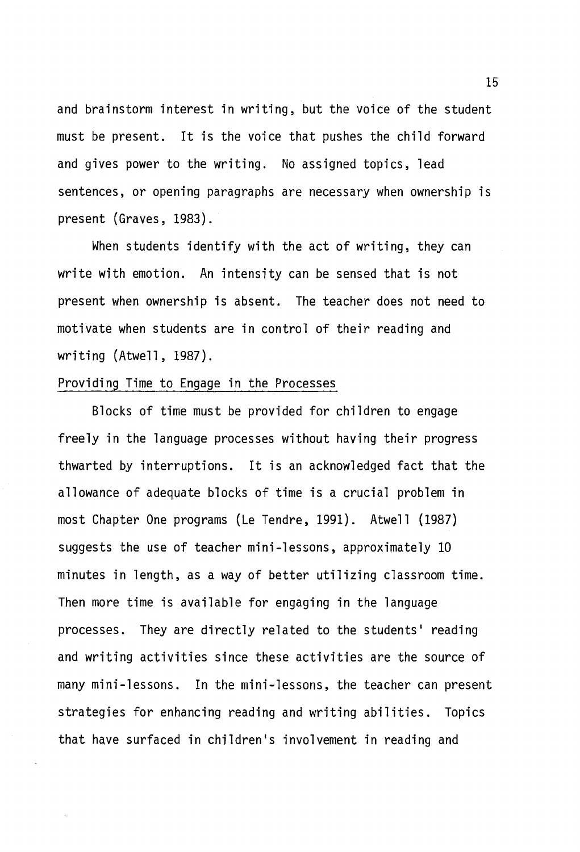and brainstorm interest in writing, but the voice of the student must be present. It is the voice that pushes the child forward and gives power to the writing. No assigned topics, lead sentences, or opening paragraphs are necessary when ownership is present (Graves, 1983).

When students identify with the act of writing, they can write with emotion. An intensity can be sensed that is not present when ownership is absent. The teacher does not need to motivate when students are in control of their reading and writing (Atwell, 1987).

#### Providing Time to Engage in the Processes

Blocks of time must be provided for children to engage freely in the language processes without having their progress thwarted by interruptions. It is an acknowledged fact that the allowance of adequate blocks of time is a crucial problem in most Chapter One programs (Le Tendre, 1991). Atwell (1987) suggests the use of teacher mini-lessons, approximately 10 minutes in length, as a way of better utilizing classroom time. Then more time is available for engaging in the language processes. They are directly related to the students' reading and writing activities since these activities are the source of many mini-lessons. In the mini-lessons, the teacher can present strategies for enhancing reading and writing abilities. Topics that have surfaced in children's involvement in reading and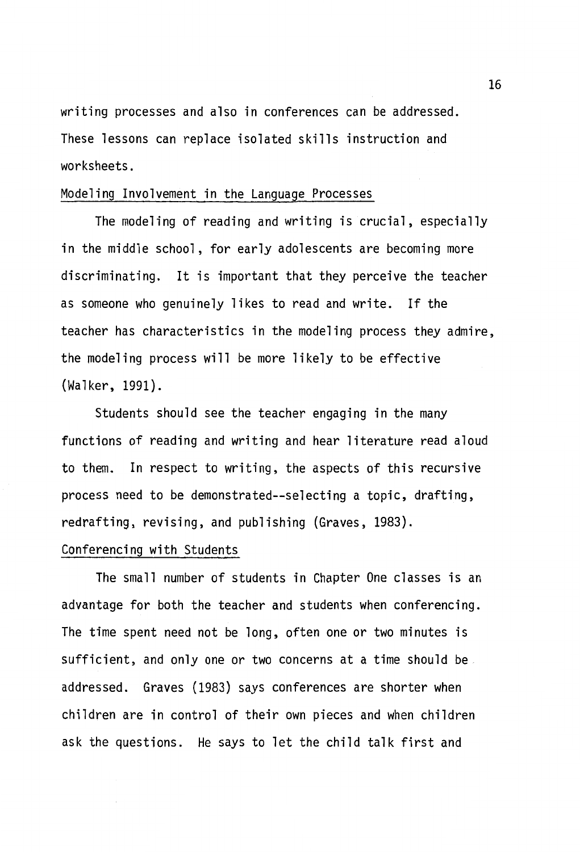writing processes and also in conferences can be addressed. These lessons can replace isolated skills instruction and worksheets.

# Modeling Involvement in the Language Processes

The modeling of reading and writing is crucial, especially in the middle school, for early adolescents are becoming more discriminating. It is important that they perceive the teacher as someone who genuinely likes to read and write. If the teacher has characteristics in the modeling process they admire, the modeling process will be more likely to be effective (Walker, 1991).

Students should see the teacher engaging in the many functions of reading and writing and hear literature read aloud to them. In respect to writing, the aspects of this recursive process need to be demonstrated--selecting a topic, drafting, redrafting, revising, and publishing (Graves, 1983).

#### Conferencing with Students

The small number of students in Chapter One classes is an advantage for both the teacher and students when conferencing. The time spent need not be long, often one or two minutes is sufficient, and only one or two concerns at a time should be addressed. Graves (1983) says conferences are shorter when children are in control of their own pieces and when children ask the questions. He says to let the child talk first and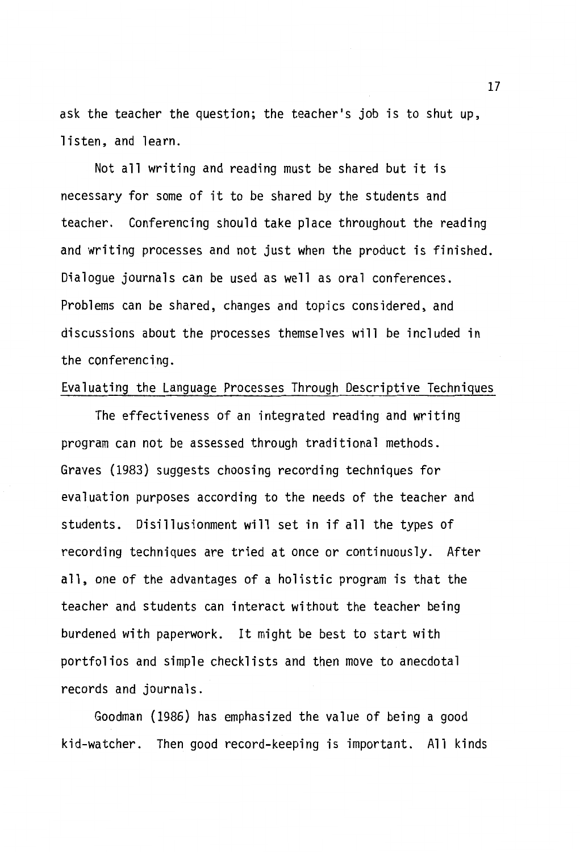ask the teacher the question; the teacher's job is to shut up, listen, and learn.

Not all writing and reading must be shared but it is necessary for some of it to be shared by the students and teacher. Conferencing should take place throughout the reading and writing processes and not just when the product is finished. Dialogue journals can be used as well as oral conferences. Problems can be shared, changes and topics considered, and discussions about the processes themselves will be included in the conferencing.

#### Evaluating the Language Processes Through Descriptive Techniques

The effectiveness of an integrated reading and writing program can not be assessed through traditional methods. Graves (1983) suggests choosing recording techniques for evaluation purposes according to the needs of the teacher and students. Disillusionment will set in if all the types of recording techniques are tried at once or continuously. After all, one of the advantages of a holistic program is that the teacher and students can interact without the teacher being burdened with paperwork. It might be best to start with portfolios and simple checklists and then move to anecdotal records and journals.

Goodman (1986) has emphasized the value of being a good kid-watcher. Then good record-keeping is important. All kinds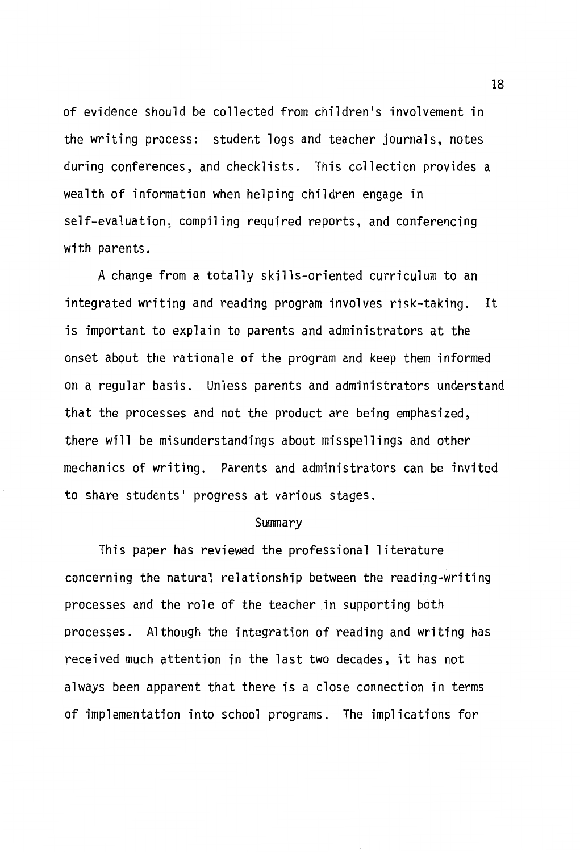of evidence should be collected from children's involvement in the writing process: student logs and teacher journals, notes during conferences, and checklists. This collection provides a wealth of information when helping children engage in self-evaluation, compiling required reports, and conferencing with parents.

A change from a totally skills-oriented curriculum to an integrated writing and reading program involves risk-taking. It is important to explain to parents and administrators at the onset about the rationale of the program and keep them informed on a regular basis. Unless parents and administrators understand that the processes and not the product are being emphasized, there will be misunderstandings about misspellings and other mechanics of writing. Parents and administrators can be invited to share students' progress at various stages.

#### Summary

This paper has reviewed the professional literature concerning the natural relationship between the reading-writing processes and the role of the teacher in supporting both processes. Although the integration of reading and writing has received much attention in the last two decades, it has not always been apparent that there is a close connection in terms of implementation into school programs. The implications for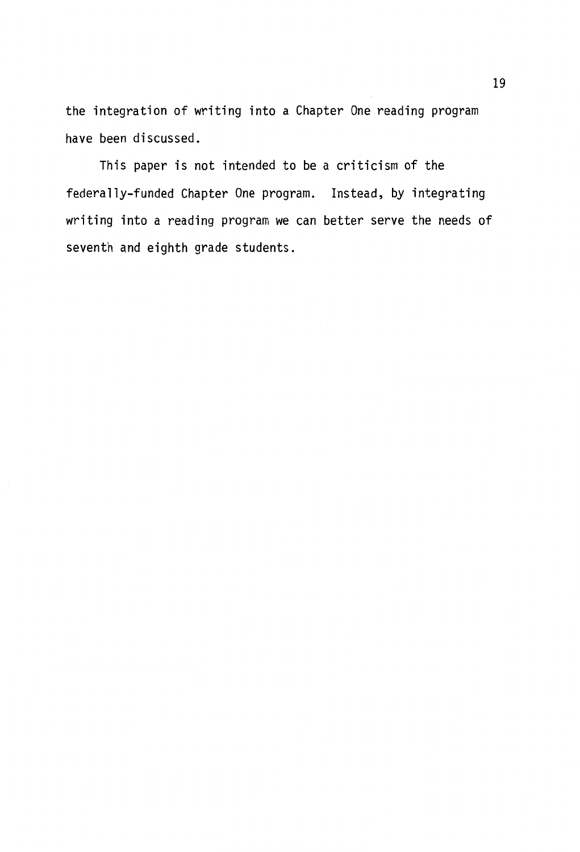the integration of writing into a Chapter One reading program have been discussed.

This paper is not intended to be a criticism of the federally-funded Chapter One program. Instead, by integrating writing into a reading program we can better serve the needs of seventh and eighth grade students.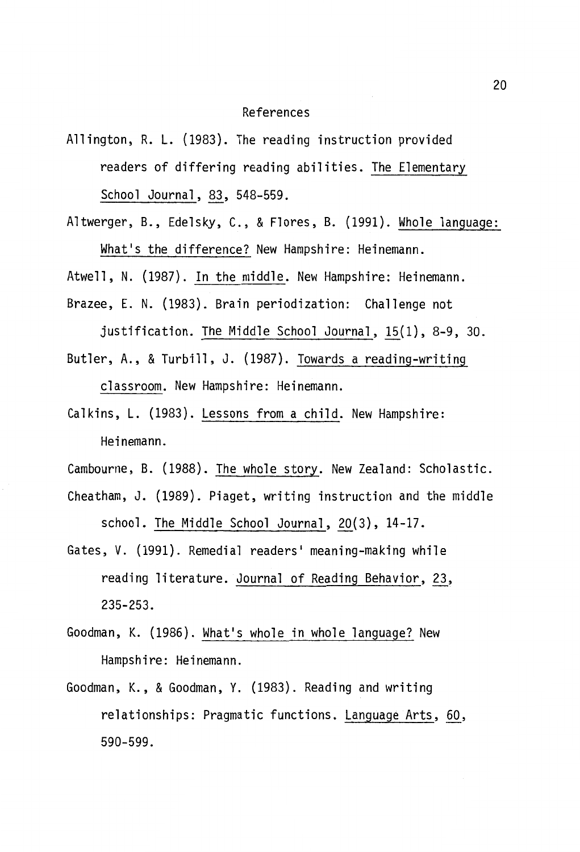#### References

- Allington, R. L. (1983). The reading instruction provided readers of differing reading abilities. The Elementary School Journal, 83, 548-559.
- Altwerger, B., Edelsky, C., & Flores, B. (1991). Whole language: What's the difference? New Hampshire: Heinemann.

Atwell, N. (1987). In the middle. New Hampshire: Heinemann.

Brazee, E. N. (1983). Brain periodization: Challenge not

justification. The Middle School Journal,  $15(1)$ , 8-9, 30.

- Butler, A., & Turbill, J. (1987). Towards a reading-writing classroom. New Hampshire: Heinemann.
- Calkins, L. (1983). Lessons from a child. New Hampshire: Heinemann.
- Cambourne, B. (1988). The whole story. New Zealand: Scholastic.
- Cheatham, J. (1989). Piaget, writing instruction and the middle school. The Middle School Journal, 20(3), 14-17.
- Gates, V. (1991). Remedial readers' meaning-making while reading literature. Journal of Reading Behavior, 23, **235-253.**
- Goodman, K. (1986). What's whole in whole language? New Hampshire: Heinemann.
- Goodman, K., & Goodman, Y. (1983). Reading and writing relationships: Pragmatic functions. Language Arts, 60, **590-599.**